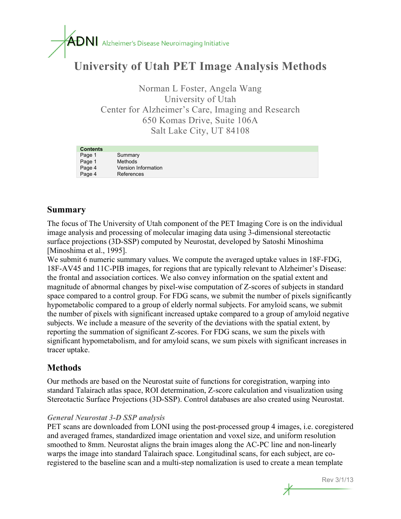# $\overline{ADN}$  Alzheimer's Disease Neuroimaging Initiative

### **University of Utah PET Image Analysis Methods**

Norman L Foster, Angela Wang University of Utah Center for Alzheimer's Care, Imaging and Research 650 Komas Drive, Suite 106A Salt Lake City, UT 84108

| <b>Contents</b> |                     |
|-----------------|---------------------|
| Page 1          | Summary             |
| Page 1          | Methods             |
| Page 4          | Version Information |
| Page 4          | References          |

#### **Summary**

The focus of The University of Utah component of the PET Imaging Core is on the individual image analysis and processing of molecular imaging data using 3-dimensional stereotactic surface projections (3D-SSP) computed by Neurostat, developed by Satoshi Minoshima [Minoshima et al., 1995].

We submit 6 numeric summary values. We compute the averaged uptake values in 18F-FDG, 18F-AV45 and 11C-PIB images, for regions that are typically relevant to Alzheimer's Disease: the frontal and association cortices. We also convey information on the spatial extent and magnitude of abnormal changes by pixel-wise computation of Z-scores of subjects in standard space compared to a control group. For FDG scans, we submit the number of pixels significantly hypometabolic compared to a group of elderly normal subjects. For amyloid scans, we submit the number of pixels with significant increased uptake compared to a group of amyloid negative subjects. We include a measure of the severity of the deviations with the spatial extent, by reporting the summation of significant Z-scores. For FDG scans, we sum the pixels with significant hypometabolism, and for amyloid scans, we sum pixels with significant increases in tracer uptake.

#### **Methods**

Our methods are based on the Neurostat suite of functions for coregistration, warping into standard Talairach atlas space, ROI determination, Z-score calculation and visualization using Stereotactic Surface Projections (3D-SSP). Control databases are also created using Neurostat.

#### *General Neurostat 3-D SSP analysis*

PET scans are downloaded from LONI using the post-processed group 4 images, i.e. coregistered and averaged frames, standardized image orientation and voxel size, and uniform resolution smoothed to 8mm. Neurostat aligns the brain images along the AC-PC line and non-linearly warps the image into standard Talairach space. Longitudinal scans, for each subject, are coregistered to the baseline scan and a multi-step nomalization is used to create a mean template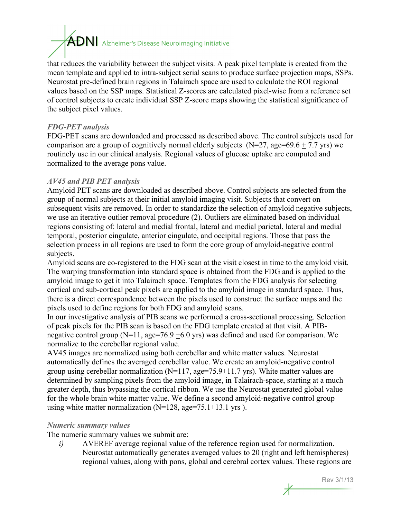## $\overline{ADN}$  Alzheimer's Disease Neuroimaging Initiative

that reduces the variability between the subject visits. A peak pixel template is created from the mean template and applied to intra-subject serial scans to produce surface projection maps, SSPs. Neurostat pre-defined brain regions in Talairach space are used to calculate the ROI regional values based on the SSP maps. Statistical Z-scores are calculated pixel-wise from a reference set of control subjects to create individual SSP Z-score maps showing the statistical significance of the subject pixel values.

#### *FDG-PET analysis*

FDG-PET scans are downloaded and processed as described above. The control subjects used for comparison are a group of cognitively normal elderly subjects ( $N=27$ , age=69.6 + 7.7 yrs) we routinely use in our clinical analysis. Regional values of glucose uptake are computed and normalized to the average pons value.

#### *AV45 and PIB PET analysis*

Amyloid PET scans are downloaded as described above. Control subjects are selected from the group of normal subjects at their initial amyloid imaging visit. Subjects that convert on subsequent visits are removed. In order to standardize the selection of amyloid negative subjects, we use an iterative outlier removal procedure (2). Outliers are eliminated based on individual regions consisting of: lateral and medial frontal, lateral and medial parietal, lateral and medial temporal, posterior cingulate, anterior cingulate, and occipital regions. Those that pass the selection process in all regions are used to form the core group of amyloid-negative control subjects.

Amyloid scans are co-registered to the FDG scan at the visit closest in time to the amyloid visit. The warping transformation into standard space is obtained from the FDG and is applied to the amyloid image to get it into Talairach space. Templates from the FDG analysis for selecting cortical and sub-cortical peak pixels are applied to the amyloid image in standard space. Thus, there is a direct correspondence between the pixels used to construct the surface maps and the pixels used to define regions for both FDG and amyloid scans.

In our investigative analysis of PIB scans we performed a cross-sectional processing. Selection of peak pixels for the PIB scan is based on the FDG template created at that visit. A PIBnegative control group ( $N=11$ , age=76.9  $\pm$ 6.0 yrs) was defined and used for comparison. We normalize to the cerebellar regional value.

AV45 images are normalized using both cerebellar and white matter values. Neurostat automatically defines the averaged cerebellar value. We create an amyloid-negative control group using cerebellar normalization  $(N=117, age=75.9+11.7$  yrs). White matter values are determined by sampling pixels from the amyloid image, in Talairach-space, starting at a much greater depth, thus bypassing the cortical ribbon. We use the Neurostat generated global value for the whole brain white matter value. We define a second amyloid-negative control group using white matter normalization ( $N=128$ , age=75.1 $\pm$ 13.1 yrs ).

#### *Numeric summary values*

The numeric summary values we submit are:

*i)* AVEREF average regional value of the reference region used for normalization. Neurostat automatically generates averaged values to 20 (right and left hemispheres) regional values, along with pons, global and cerebral cortex values. These regions are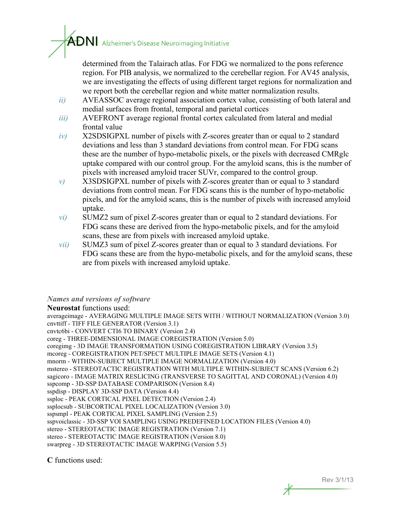determined from the Talairach atlas. For FDG we normalized to the pons reference

 $\textcolor{red}{\blacktriangle_{\textbf{DM}}}$  Alzheimer's Disease Neuroimaging Initiative

region. For PIB analysis, we normalized to the cerebellar region. For AV45 analysis, we are investigating the effects of using different target regions for normalization and we report both the cerebellar region and white matter normalization results.

- *ii)* AVEASSOC average regional association cortex value, consisting of both lateral and medial surfaces from frontal, temporal and parietal cortices
- *iii)* AVEFRONT average regional frontal cortex calculated from lateral and medial frontal value
- *iv)* X2SDSIGPXL number of pixels with Z-scores greater than or equal to 2 standard deviations and less than 3 standard deviations from control mean. For FDG scans these are the number of hypo-metabolic pixels, or the pixels with decreased CMRglc uptake compared with our control group. For the amyloid scans, this is the number of pixels with increased amyloid tracer SUVr, compared to the control group.
- *v)* X3SDSIGPXL number of pixels with Z-scores greater than or equal to 3 standard deviations from control mean. For FDG scans this is the number of hypo-metabolic pixels, and for the amyloid scans, this is the number of pixels with increased amyloid uptake.
- *vi)* SUMZ2 sum of pixel Z-scores greater than or equal to 2 standard deviations. For FDG scans these are derived from the hypo-metabolic pixels, and for the amyloid scans, these are from pixels with increased amyloid uptake.
- *vii)* SUMZ3 sum of pixel Z-scores greater than or equal to 3 standard deviations. For FDG scans these are from the hypo-metabolic pixels, and for the amyloid scans, these are from pixels with increased amyloid uptake.

#### *Names and versions of software*

**Neurostat** functions used:

averageimage - AVERAGING MULTIPLE IMAGE SETS WITH / WITHOUT NORMALIZATION (Version 3.0) cnvttiff - TIFF FILE GENERATOR (Version 3.1) cnvtc6bi - CONVERT CTI6 TO BINARY (Version 2.4) coreg - THREE-DIMENSIONAL IMAGE COREGISTRATION (Version 5.0) coregimg - 3D IMAGE TRANSFORMATION USING COREGISTRATION LIBRARY (Version 3.5) mcoreg - COREGISTRATION PET/SPECT MULTIPLE IMAGE SETS (Version 4.1) mnorm - WITHIN-SUBJECT MULTIPLE IMAGE NORMALIZATION (Version 4.0) mstereo - STEREOTACTIC REGISTRATION WITH MULTIPLE WITHIN-SUBJECT SCANS (Version 6.2) sagicoro - IMAGE MATRIX RESLICING (TRANSVERSE TO SAGITTAL AND CORONAL) (Version 4.0) sspcomp - 3D-SSP DATABASE COMPARISON (Version 8.4) sspdisp - DISPLAY 3D-SSP DATA (Version 4.4) ssploc - PEAK CORTICAL PIXEL DETECTION (Version 2.4) ssplocsub - SUBCORTICAL PIXEL LOCALIZATION (Version 3.0) sspsmpl - PEAK CORTICAL PIXEL SAMPLING (Version 2.5) sspvoiclassic - 3D-SSP VOI SAMPLING USING PREDEFINED LOCATION FILES (Version 4.0) stereo - STEREOTACTIC IMAGE REGISTRATION (Version 7.1) stereo - STEREOTACTIC IMAGE REGISTRATION (Version 8.0) swarpreg - 3D STEREOTACTIC IMAGE WARPING (Version 5.5)

**C** functions used: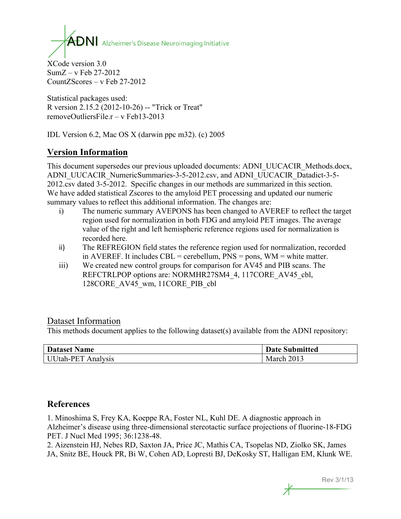$\mathbf{A}\mathbf{D}\mathbf{N}$  Alzheimer's Disease Neuroimaging Initiative

XCode version 3.0 SumZ – v Feb 27-2012 CountZScores – v Feb 27-2012

Statistical packages used: R version 2.15.2 (2012-10-26) -- "Trick or Treat" removeOutliersFile.r – v Feb13-2013

IDL Version 6.2, Mac OS X (darwin ppc m32). (c) 2005

#### **Version Information**

This document supersedes our previous uploaded documents: ADNI\_UUCACIR\_Methods.docx, ADNI\_UUCACIR\_NumericSummaries-3-5-2012.csv, and ADNI\_UUCACIR\_Datadict-3-5-2012.csv dated 3-5-2012. Specific changes in our methods are summarized in this section. We have added statistical Zscores to the amyloid PET processing and updated our numeric summary values to reflect this additional information. The changes are:

- i) The numeric summary AVEPONS has been changed to AVEREF to reflect the target region used for normalization in both FDG and amyloid PET images. The average value of the right and left hemispheric reference regions used for normalization is recorded here.
- ii) The REFREGION field states the reference region used for normalization, recorded in AVEREF. It includes CBL = cerebellum,  $PNS = pons$ ,  $WM = white$  matter.
- iii) We created new control groups for comparison for AV45 and PIB scans. The REFCTRLPOP options are: NORMHR27SM4\_4, 117CORE\_AV45\_cbl, 128CORE\_AV45\_wm, 11CORE\_PIB\_cbl

#### Dataset Information

This methods document applies to the following dataset(s) available from the ADNI repository:

| <b>Dataset Name</b>       | <b>Date Submitted</b> |
|---------------------------|-----------------------|
| <b>UUtah-PET Analysis</b> | March 2013            |

#### **References**

1. Minoshima S, Frey KA, Koeppe RA, Foster NL, Kuhl DE. A diagnostic approach in Alzheimer's disease using three-dimensional stereotactic surface projections of fluorine-18-FDG PET. J Nucl Med 1995; 36:1238-48.

2. Aizenstein HJ, Nebes RD, Saxton JA, Price JC, Mathis CA, Tsopelas ND, Ziolko SK, James JA, Snitz BE, Houck PR, Bi W, Cohen AD, Lopresti BJ, DeKosky ST, Halligan EM, Klunk WE.